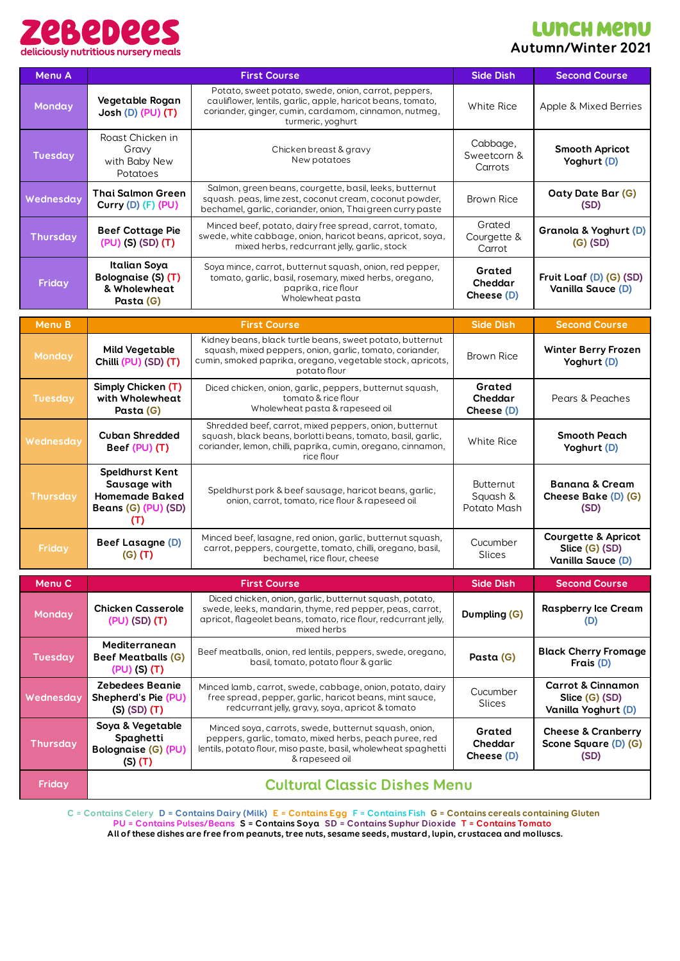

#### LUNCH MENU **Autumn/Winter 2021**

| <b>Menu A</b>     |                                                                                               | <b>First Course</b>                                                                                                                                                                                   | <b>Side Dish</b>                     | <b>Second Course</b>                                                  |  |  |  |  |  |
|-------------------|-----------------------------------------------------------------------------------------------|-------------------------------------------------------------------------------------------------------------------------------------------------------------------------------------------------------|--------------------------------------|-----------------------------------------------------------------------|--|--|--|--|--|
| Monday            | Vegetable Rogan<br>Josh (D) (PU) (T)                                                          | Potato, sweet potato, swede, onion, carrot, peppers,<br>cauliflower, lentils, garlic, apple, haricot beans, tomato,<br>coriander, ginger, cumin, cardamom, cinnamon, nutmeg,<br>turmeric, yoghurt     | White Rice                           | Apple & Mixed Berries                                                 |  |  |  |  |  |
| <b>Tuesday</b>    | Roast Chicken in<br>Gravy<br>with Baby New<br>Potatoes                                        | Chicken breast & gravy<br>New potatoes                                                                                                                                                                | Cabbage,<br>Sweetcorn &<br>Carrots   | <b>Smooth Apricot</b><br>Yoghurt (D)                                  |  |  |  |  |  |
| Wednesday         | <b>Thai Salmon Green</b><br>Curry (D) (F) (PU)                                                | Salmon, green beans, courgette, basil, leeks, butternut<br>squash. peas, lime zest, coconut cream, coconut powder,<br>bechamel, garlic, coriander, onion, Thai green curry paste                      | <b>Brown Rice</b>                    | Oaty Date Bar (G)<br>(SD)                                             |  |  |  |  |  |
| Thursday          | <b>Beef Cottage Pie</b><br>(PU) (S) (SD) (T)                                                  | Minced beef, potato, dairy free spread, carrot, tomato,<br>swede, white cabbage, onion, haricot beans, apricot, soya,<br>mixed herbs, redcurrant jelly, garlic, stock                                 | Grated<br>Courgette &<br>Carrot      | Granola & Yoghurt (D)<br>$(G)$ (SD)                                   |  |  |  |  |  |
| Friday            | Italian Soya<br><b>Bolognaise (S) (T)</b><br>& Wholewheat<br>Pasta (G)                        | Soya mince, carrot, butternut squash, onion, red pepper,<br>tomato, garlic, basil, rosemary, mixed herbs, oregano,<br>paprika, rice flour<br>Wholewheat pasta                                         | Grated<br>Cheddar<br>Cheese (D)      | Fruit Loaf (D) (G) (SD)<br>Vanilla Sauce (D)                          |  |  |  |  |  |
| Menu B            |                                                                                               | <b>First Course</b>                                                                                                                                                                                   | <b>Side Dish</b>                     | <b>Second Course</b>                                                  |  |  |  |  |  |
| Monday            | <b>Mild Vegetable</b><br>Chilli (PU) (SD) (T)                                                 | Kidney beans, black turtle beans, sweet potato, butternut<br>squash, mixed peppers, onion, garlic, tomato, coriander,<br>cumin, smoked paprika, oregano, vegetable stock, apricots,<br>potato flour   | <b>Brown Rice</b>                    | <b>Winter Berry Frozen</b><br>Yoghurt (D)                             |  |  |  |  |  |
| <b>Tuesday</b>    | Simply Chicken (T)<br>with Wholewheat<br>Pasta (G)                                            | Diced chicken, onion, garlic, peppers, butternut squash,<br>tomato & rice flour<br>Wholewheat pasta & rapeseed oil                                                                                    | Grated<br>Cheddar<br>Cheese (D)      | Pears & Peaches                                                       |  |  |  |  |  |
| Wednesday         | <b>Cuban Shredded</b><br>Beef (PU) (T)                                                        | Shredded beef, carrot, mixed peppers, onion, butternut<br>squash, black beans, borlotti beans, tomato, basil, garlic,<br>coriander, lemon, chilli, paprika, cumin, oregano, cinnamon,<br>rice flour   | White Rice                           | <b>Smooth Peach</b><br>Yoghurt (D)                                    |  |  |  |  |  |
| Thursday          | <b>Speldhurst Kent</b><br>Sausage with<br><b>Homemade Baked</b><br>Beans (G) (PU) (SD)<br>(T) | Speldhurst pork & beef sausage, haricot beans, garlic,<br>onion, carrot, tomato, rice flour & rapeseed oil                                                                                            | Butternut<br>Squash &<br>Potato Mash | <b>Banana &amp; Cream</b><br>Cheese Bake (D) (G)<br>(SD)              |  |  |  |  |  |
| Friday            | <b>Beef Lasagne (D)</b><br>$(G)$ $(T)$                                                        | Minced beef, lasagne, red onion, garlic, butternut squash,<br>carrot, peppers, courgette, tomato, chilli, oregano, basil,<br>bechamel, rice flour, cheese                                             | Cucumber<br><b>Slices</b>            | <b>Courgette &amp; Apricot</b><br>Slice (G) (SD)<br>Vanilla Sauce (D) |  |  |  |  |  |
| Menu <sub>C</sub> |                                                                                               | <b>First Course</b>                                                                                                                                                                                   | <b>Side Dish</b>                     | <b>Second Course</b>                                                  |  |  |  |  |  |
| Monday            | <b>Chicken Casserole</b><br>(PU) (SD) (T)                                                     | Diced chicken, onion, garlic, butternut squash, potato,<br>swede, leeks, mandarin, thyme, red pepper, peas, carrot,<br>apricot, flageolet beans, tomato, rice flour, redcurrant jelly,<br>mixed herbs | Dumpling (G)                         | <b>Raspberry Ice Cream</b><br>(D)                                     |  |  |  |  |  |
| <b>Tuesday</b>    | Mediterranean<br><b>Beef Meatballs (G)</b><br>(PU) (S) (T)                                    | Beef meatballs, onion, red lentils, peppers, swede, oregano,<br>basil, tomato, potato flour & garlic                                                                                                  | Pasta (G)                            | <b>Black Cherry Fromage</b><br>Frais (D)                              |  |  |  |  |  |
| Wednesday         | <b>Zebedees Beanie</b><br>Shepherd's Pie (PU)<br>$(S)$ (SD) $(T)$                             | Minced lamb, carrot, swede, cabbage, onion, potato, dairy<br>free spread, pepper, garlic, haricot beans, mint sauce,<br>redcurrant jelly, gravy, soya, apricot & tomato                               | Cucumber<br><b>Slices</b>            | <b>Carrot &amp; Cinnamon</b><br>Slice (G) (SD)<br>Vanilla Yoghurt (D) |  |  |  |  |  |
| Thursday          | Soya & Vegetable<br>Spaghetti<br><b>Bolognaise (G) (PU)</b><br>$(S)$ $(T)$                    | Minced soya, carrots, swede, butternut squash, onion,<br>peppers, garlic, tomato, mixed herbs, peach puree, red<br>lentils, potato flour, miso paste, basil, wholewheat spaghetti<br>& rapeseed oil   | Grated<br>Cheddar<br>Cheese (D)      | <b>Cheese &amp; Cranberry</b><br><b>Scone Square (D) (G)</b><br>(SD)  |  |  |  |  |  |
| Friday            |                                                                                               | <b>Cultural Classic Dishes Menu</b>                                                                                                                                                                   |                                      |                                                                       |  |  |  |  |  |

C = Contains Celery D = Contains Dairy (Milk) E = Contains Egg F = Contains Fish G = Contains cereals containing Gluten **PU = Contains Pulses/Beans S = Contains Soya SD = Contains Suphur Dioxide T = Contains Tomato** All of these dishes are free from peanuts, tree nuts, sesame seeds, mustard, lupin, crustacea and molluscs.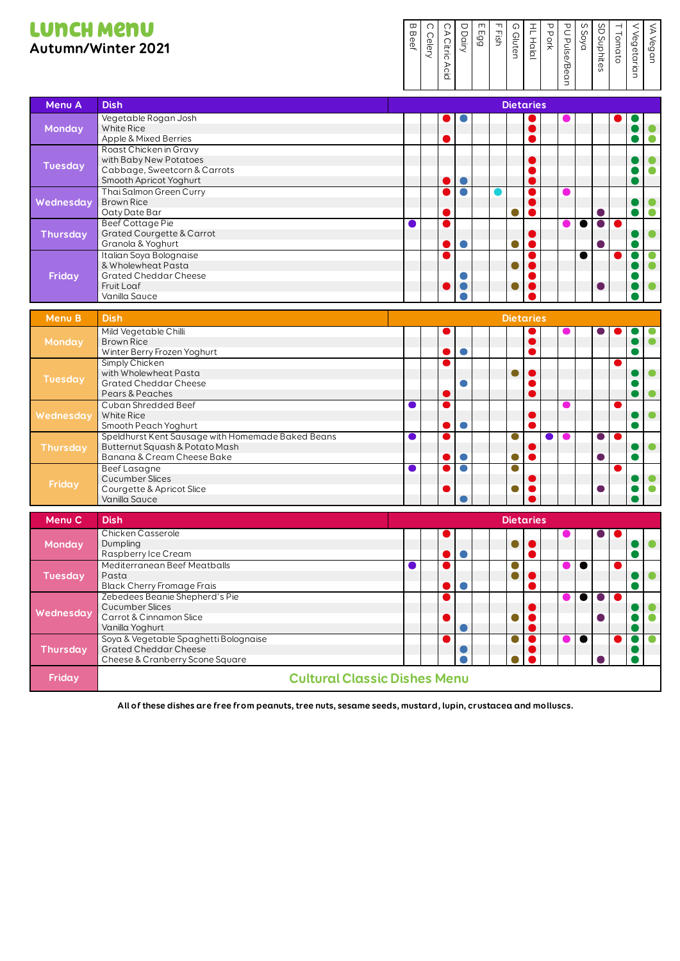### Lunch Menu **Autumn/Winter 2021**

| ╖<br>ᡂ<br>の<br>吉<br>Fish<br>⊳<br>663<br><b>Beef</b><br>Gluten<br>yairy<br>Celery<br>Halal<br>itric<br>♪<br>ō.<br>D | n<br>$\frac{1}{2}$<br>ഗ<br>Vegetariar<br>pópo<br>ত<br>Tomata<br>Suphites<br>Pulse/<br>읏<br>க்<br>ğ |
|--------------------------------------------------------------------------------------------------------------------|----------------------------------------------------------------------------------------------------|
|--------------------------------------------------------------------------------------------------------------------|----------------------------------------------------------------------------------------------------|

| <b>Menu A</b>     | <b>Dish</b><br><b>Dietaries</b>                              |                  |  |           |  |                  |           |  |  |  |                         |  |  |                        |
|-------------------|--------------------------------------------------------------|------------------|--|-----------|--|------------------|-----------|--|--|--|-------------------------|--|--|------------------------|
|                   | Vegetable Rogan Josh                                         |                  |  |           |  |                  |           |  |  |  |                         |  |  |                        |
| Monday            | White Rice                                                   |                  |  |           |  |                  |           |  |  |  |                         |  |  |                        |
|                   | Apple & Mixed Berries                                        |                  |  |           |  |                  |           |  |  |  |                         |  |  |                        |
|                   | Roast Chicken in Gravy                                       |                  |  |           |  |                  |           |  |  |  |                         |  |  |                        |
| <b>Tuesday</b>    | with Baby New Potatoes                                       |                  |  |           |  |                  |           |  |  |  |                         |  |  |                        |
|                   | Cabbage, Sweetcorn & Carrots                                 |                  |  |           |  |                  |           |  |  |  |                         |  |  |                        |
|                   | Smooth Apricot Yoghurt                                       |                  |  |           |  |                  |           |  |  |  |                         |  |  |                        |
|                   | Thai Salmon Green Curry                                      |                  |  |           |  |                  |           |  |  |  |                         |  |  |                        |
| Wednesday         | <b>Brown Rice</b><br>Oaty Date Bar                           |                  |  |           |  |                  |           |  |  |  |                         |  |  | $\bullet$<br>$\bullet$ |
|                   | <b>Beef Cottage Pie</b>                                      |                  |  |           |  |                  |           |  |  |  |                         |  |  |                        |
| <b>Thursday</b>   | <b>Grated Courgette &amp; Carrot</b>                         |                  |  |           |  |                  |           |  |  |  |                         |  |  |                        |
|                   | Granola & Yoghurt                                            |                  |  | O         |  |                  |           |  |  |  |                         |  |  |                        |
|                   | Italian Soya Bolognaise                                      |                  |  |           |  |                  |           |  |  |  |                         |  |  | $\bullet$              |
|                   | & Wholewheat Pasta                                           |                  |  |           |  |                  |           |  |  |  |                         |  |  |                        |
| Friday            | <b>Grated Cheddar Cheese</b>                                 |                  |  |           |  |                  |           |  |  |  |                         |  |  |                        |
|                   | Fruit Loaf                                                   |                  |  | $\bullet$ |  |                  |           |  |  |  |                         |  |  |                        |
|                   | Vanilla Sauce                                                |                  |  |           |  |                  |           |  |  |  |                         |  |  |                        |
|                   |                                                              |                  |  |           |  |                  |           |  |  |  |                         |  |  |                        |
| Menu B            | <b>Dish</b>                                                  | <b>Dietaries</b> |  |           |  |                  |           |  |  |  |                         |  |  |                        |
|                   | Mild Vegetable Chilli                                        |                  |  |           |  |                  |           |  |  |  |                         |  |  |                        |
| Monday            | <b>Brown Rice</b>                                            |                  |  |           |  |                  |           |  |  |  |                         |  |  |                        |
|                   | Winter Berry Frozen Yoghurt                                  |                  |  | $\bullet$ |  |                  |           |  |  |  |                         |  |  |                        |
|                   | Simply Chicken                                               |                  |  |           |  |                  |           |  |  |  |                         |  |  |                        |
| <b>Tuesday</b>    | with Wholewheat Pasta                                        |                  |  |           |  |                  |           |  |  |  |                         |  |  | $\bullet$              |
|                   | <b>Grated Cheddar Cheese</b>                                 |                  |  |           |  |                  |           |  |  |  |                         |  |  |                        |
|                   | Pears & Peaches                                              |                  |  |           |  |                  |           |  |  |  |                         |  |  | $\bullet$              |
|                   | <b>Cuban Shredded Beef</b>                                   |                  |  |           |  |                  |           |  |  |  |                         |  |  |                        |
| Wednesday         | <b>White Rice</b>                                            |                  |  |           |  |                  |           |  |  |  |                         |  |  | $\bullet$              |
|                   | Smooth Peach Yoghurt                                         |                  |  | $\bullet$ |  |                  |           |  |  |  |                         |  |  |                        |
|                   | Speldhurst Kent Sausage with Homemade Baked Beans            |                  |  |           |  |                  |           |  |  |  |                         |  |  |                        |
| <b>Thursday</b>   | Butternut Squash & Potato Mash<br>Banana & Cream Cheese Bake |                  |  | $\bullet$ |  | $\bullet$        | $\bullet$ |  |  |  |                         |  |  | $\bullet$              |
|                   |                                                              |                  |  |           |  |                  |           |  |  |  |                         |  |  |                        |
|                   | <b>Beef Lasagne</b><br>Cucumber Slices                       |                  |  |           |  |                  |           |  |  |  |                         |  |  |                        |
| <b>Friday</b>     | Courgette & Apricot Slice                                    |                  |  |           |  |                  |           |  |  |  |                         |  |  |                        |
|                   | Vanilla Sauce                                                |                  |  |           |  |                  |           |  |  |  |                         |  |  |                        |
|                   |                                                              |                  |  |           |  |                  |           |  |  |  |                         |  |  |                        |
| Menu <sub>C</sub> | <b>Dish</b>                                                  |                  |  |           |  | <b>Dietaries</b> |           |  |  |  |                         |  |  |                        |
|                   | <b>Chicken Casserole</b>                                     |                  |  |           |  |                  |           |  |  |  |                         |  |  |                        |
| Monday            | Dumpling                                                     |                  |  |           |  |                  |           |  |  |  |                         |  |  | $\bullet$              |
|                   | Raspberry Ice Cream                                          |                  |  |           |  |                  |           |  |  |  |                         |  |  |                        |
|                   | Mediterranean Beef Meatballs                                 |                  |  |           |  |                  |           |  |  |  |                         |  |  |                        |
| <b>Tuesday</b>    | Pasta                                                        |                  |  |           |  | $\bullet$        |           |  |  |  |                         |  |  |                        |
|                   | <b>Black Cherry Fromage Frais</b>                            |                  |  | $\bullet$ |  |                  |           |  |  |  |                         |  |  |                        |
|                   | Zebedees Beanie Shepherd's Pie                               |                  |  |           |  |                  |           |  |  |  | $\bullet\bullet\bullet$ |  |  |                        |
| Wednesday         | Cucumber Slices                                              |                  |  |           |  |                  |           |  |  |  |                         |  |  |                        |
|                   | Carrot & Cinnamon Slice                                      |                  |  |           |  |                  |           |  |  |  |                         |  |  | $\bullet$              |
|                   | Vanilla Yoghurt                                              |                  |  |           |  |                  |           |  |  |  |                         |  |  |                        |
|                   | Soya & Vegetable Spaghetti Bolognaise                        |                  |  |           |  |                  |           |  |  |  |                         |  |  |                        |
| Thursday          | <b>Grated Cheddar Cheese</b>                                 |                  |  |           |  |                  |           |  |  |  |                         |  |  |                        |
|                   | Cheese & Cranberry Scone Square                              |                  |  |           |  |                  |           |  |  |  |                         |  |  |                        |
| Friday            | <b>Cultural Classic Dishes Menu</b>                          |                  |  |           |  |                  |           |  |  |  |                         |  |  |                        |
|                   |                                                              |                  |  |           |  |                  |           |  |  |  |                         |  |  |                        |

All of these dishes are free from peanuts, tree nuts, sesame seeds, mustard, lupin, crustacea and molluscs.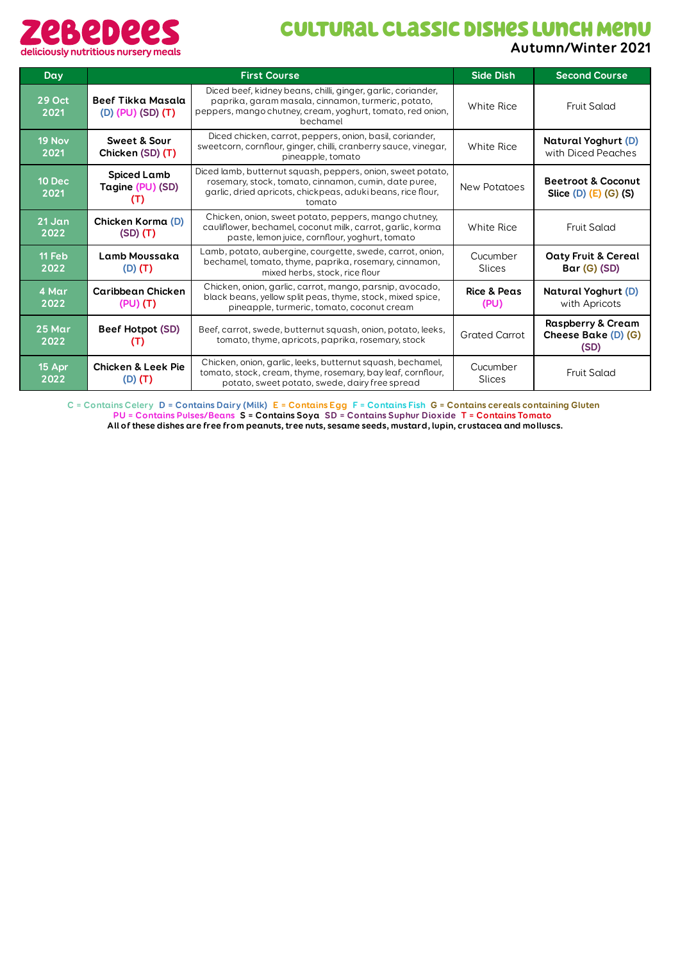## $\mathbf{D}$ deliciously nutritious nursery meals

# CULTURAL CLASSIC DISHES LUNCH MENU

**Autumn/Winter 2021**

| Day                   |                                               | <b>First Course</b>                                                                                                                                                                           | <b>Side Dish</b>     | <b>Second Course</b>                                           |
|-----------------------|-----------------------------------------------|-----------------------------------------------------------------------------------------------------------------------------------------------------------------------------------------------|----------------------|----------------------------------------------------------------|
| <b>29 Oct</b><br>2021 | Beef Tikka Masala<br>(D) (PU) (SD) (T)        | Diced beef, kidney beans, chilli, ginger, garlic, coriander,<br>paprika, garam masala, cinnamon, turmeric, potato,<br>peppers, mango chutney, cream, yoghurt, tomato, red onion,<br>bechamel  | White Rice           | <b>Fruit Salad</b>                                             |
| 19 Nov<br>2021        | Sweet & Sour<br>Chicken (SD) (T)              | Diced chicken, carrot, peppers, onion, basil, coriander,<br>sweetcorn, cornflour, ginger, chilli, cranberry sauce, vinegar,<br>pineapple, tomato                                              | White Rice           | <b>Natural Yoghurt (D)</b><br>with Diced Peaches               |
| 10 Dec<br>2021        | <b>Spiced Lamb</b><br>Tagine (PU) (SD)<br>(T) | Diced lamb, butternut squash, peppers, onion, sweet potato,<br>rosemary, stock, tomato, cinnamon, cumin, date puree,<br>garlic, dried apricots, chickpeas, aduki beans, rice flour,<br>tomato | New Potatoes         | <b>Beetroot &amp; Coconut</b><br>Slice $(D)$ $(E)$ $(G)$ $(S)$ |
| $21$ Jan<br>2022      | Chicken Korma (D)<br>$(SD)$ $(T)$             | Chicken, onion, sweet potato, peppers, mango chutney,<br>cauliflower, bechamel, coconut milk, carrot, garlic, korma<br>paste, lemon juice, cornflour, yoghurt, tomato                         | White Rice           | <b>Fruit Salad</b>                                             |
| 11 Feb<br>2022        | Lamb Moussaka<br>$(D)$ $(T)$                  | Lamb, potato, aubergine, courgette, swede, carrot, onion,<br>bechamel, tomato, thyme, paprika, rosemary, cinnamon,<br>mixed herbs, stock, rice flour                                          | Cucumber<br>Slices   | <b>Oaty Fruit &amp; Cereal</b><br><b>Bar (G) (SD)</b>          |
| 4 Mar<br>2022         | <b>Caribbean Chicken</b><br>$(PU)$ $(T)$      | Chicken, onion, garlic, carrot, mango, parsnip, avocado,<br>black beans, yellow split peas, thyme, stock, mixed spice,<br>pineapple, turmeric, tomato, coconut cream                          | Rice & Peas<br>(PU)  | Natural Yoghurt (D)<br>with Apricots                           |
| 25 Mar<br>2022        | Beef Hotpot (SD)<br>(T)                       | Beef, carrot, swede, butternut squash, onion, potato, leeks,<br>tomato, thyme, apricots, paprika, rosemary, stock                                                                             | <b>Grated Carrot</b> | <b>Raspberry &amp; Cream</b><br>Cheese Bake (D) (G)<br>(SD)    |
| 15 Apr<br>2022        | <b>Chicken &amp; Leek Pie</b><br>$(D)$ $(T)$  | Chicken, onion, garlic, leeks, butternut squash, bechamel,<br>tomato, stock, cream, thyme, rosemary, bay leaf, cornflour,<br>potato, sweet potato, swede, dairy free spread                   | Cucumber<br>Slices   | <b>Fruit Salad</b>                                             |

C = Contains Celery D = Contains Dairy (Milk) E = Contains Egg F = Contains Fish G = Contains cereals containing Gluten **PU = Contains Pulses/Beans S = Contains Soya SD = Contains Suphur Dioxide T = Contains Tomato** All of these dishes are free from peanuts, tree nuts, sesame seeds, mustard, lupin, crustacea and molluscs.